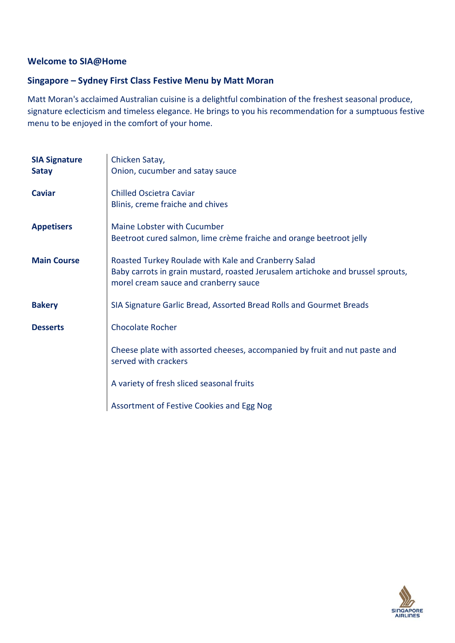### **Welcome to SIA@Home**

# **Singapore – Sydney First Class Festive Menu by Matt Moran**

Matt Moran's acclaimed Australian cuisine is a delightful combination of the freshest seasonal produce, signature eclecticism and timeless elegance. He brings to you his recommendation for a sumptuous festive menu to be enjoyed in the comfort of your home.

| <b>SIA Signature</b><br><b>Satay</b> | Chicken Satay,<br>Onion, cucumber and satay sauce                                                                                                                                |
|--------------------------------------|----------------------------------------------------------------------------------------------------------------------------------------------------------------------------------|
| <b>Caviar</b>                        | <b>Chilled Oscietra Caviar</b><br>Blinis, creme fraiche and chives                                                                                                               |
| <b>Appetisers</b>                    | Maine Lobster with Cucumber<br>Beetroot cured salmon, lime crème fraiche and orange beetroot jelly                                                                               |
| <b>Main Course</b>                   | Roasted Turkey Roulade with Kale and Cranberry Salad<br>Baby carrots in grain mustard, roasted Jerusalem artichoke and brussel sprouts,<br>morel cream sauce and cranberry sauce |
| <b>Bakery</b>                        | SIA Signature Garlic Bread, Assorted Bread Rolls and Gourmet Breads                                                                                                              |
| <b>Desserts</b>                      | <b>Chocolate Rocher</b>                                                                                                                                                          |
|                                      | Cheese plate with assorted cheeses, accompanied by fruit and nut paste and<br>served with crackers                                                                               |
|                                      | A variety of fresh sliced seasonal fruits                                                                                                                                        |
|                                      | Assortment of Festive Cookies and Egg Nog                                                                                                                                        |